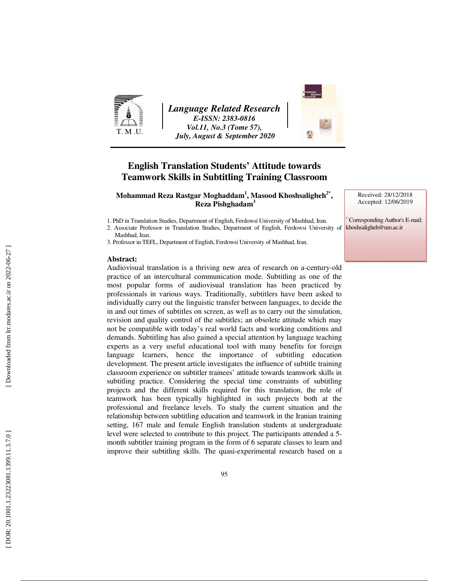

*Language Related Research E-ISSN: 2383-0816 Vol.11, No.3 (Tome 57), July, August & September 2020* 



# **English Translation Students' Attitude towards Teamwork Skills in Subtitling Training Classroom**

 $\mathbf{M}$ ohammad Reza Rastgar  $\mathbf{M}$ oghaddam $^1\mathbf{,M}$ asood Khoshsaligheh $^{2^*}\mathbf{,}$  **Reza Pishghadam 3**

1. PhD in Translation Studies, Department of English, Ferdowsi University of Mashhad, Iran.

2. Associate Professor in Translation Studies, Department of English, Ferdowsi University of Mashhad, Iran.

3. Professor in TEFL, Department of English, Ferdowsi University of Mashhad, Iran.

#### **Abstract:**

Audiovisual translation is a thriving new area of research on a-century-old practice of an intercultural communication mode. Subtitling as one of the most popular forms of audiovisual translation has been practiced by professionals in various ways. Traditionally, subtitlers have been asked to individually carry out the linguistic transfer between languages, to decide the in and out times of subtitles on screen, as well as to carry out the simulation, revision and quality control of the subtitles; an obsolete attitude which may not be compatible with today's real world facts and working conditions and demands. Subtitling has also gained a special attention by language teaching experts as a very useful educational tool with many benefits for foreign language learners, hence the importance of subtitling education development. The present article investigates the influence of subtitle training classroom experience on subtitler trainees' attitude towards teamwork skills in subtitling practice. Considering the special time constraints of subtitling projects and the different skills required for this translation, the role of teamwork has been typically highlighted in such projects both at the professional and freelance levels. To study the current situation and the relationship between subtitling education and teamwork in the Iranian training setting, 167 male and female English translation students at undergraduate level were selected to contribute to this project. The participants attended a 5 month subtitler training program in the form of 6 separate classes to learn and improve their subtitling skills. The quasi-experimental research based on a Received: 28/12/2018 Accepted: 12/06/2019

∗ Corresponding Author's E-mail: khoshsaligheh@um.ac.ir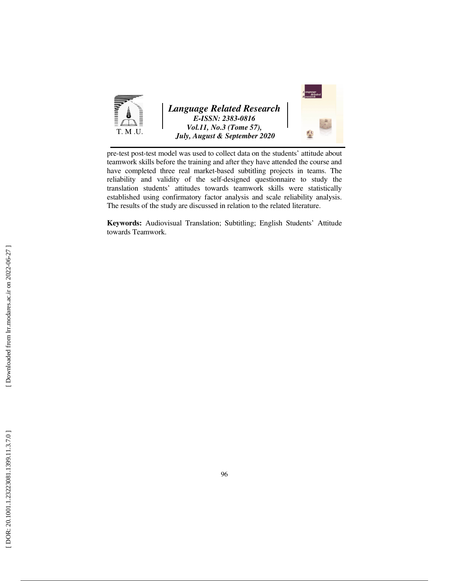

pre-test post-test model was used to collect data on the students' attitude about teamwork skills before the training and after they have attended the course and have completed three real market-based subtitling projects in teams. The reliability and validity of the self-designed questionnaire to study the translation students' attitudes towards teamwork skills were statistically established using confirmatory factor analysis and scale reliability analysis. The results of the study are discussed in relation to the related literature.

**Keywords:** Audiovisual Translation; Subtitling; English Students' Attitude towards Teamwork.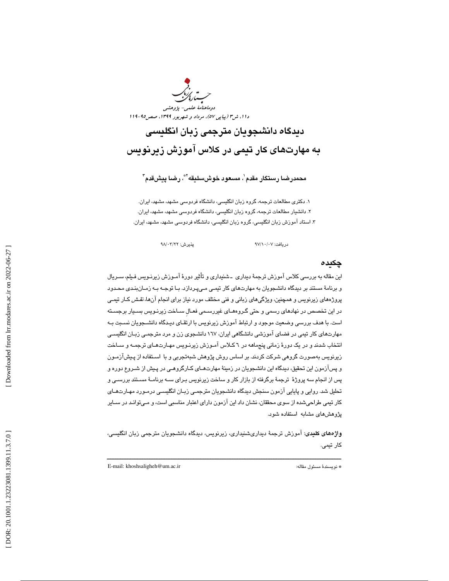دوماهنامة علمي- پژوهشي دا ۱ ، شر۳ (پي*اپي ٥٧)* ، مرد*اد و شهريور ١٣٩٩* ، صص14-*119* 

ديدگاه دانشجويان مترجمي زبان انگليسي به مهارتهاي كار تيمي در كلاس آموزش زيرنويس

محمدرضـا رسىتگار مقدم'، مسـعود خوشسىليقه'\*، رضـا پيشقدم<sup>۳</sup>

. 1 دكتري مطالعات ترجمه، گروه زبان انگليسي، دانشگاه فردوسي مشهد، مشهد، ايران. . دانشيار مطالعات ترجمه، گروه زبان انگليسي، دانشگاه فردوسي مشهد، مشهد، ايران. 2 ۳. استاد اموزش زبان انگليسي، گروه زبان انگليسي، دانشگاه فردوسي مشهد، مشهد، ايران.

دريافت: ٧/ ٩٧/١٠/ ٩٧

چكيده

اين مقاله به بررسي كلاس آموزش ترجمة ديداري ـ شنيداري و تأثير دورة آمـوزش زيرنـويس فـيلم، سـريال و برنامة مستند بر ديدگاه دانشجويان به مهارتهاي كار تيمـي مـي پـردازد. بـا توجـه بـه زمـان بنـدي محـدود پروژههاي زيرنويس و همچنين، ويژگيهاي زباني و فني مختلف مورد نياز براي انجام آنها، *نقـش* كـار تي*مـ*ي در اين تخصص در نهادهاي رسمي و حتي گـروه هـاي غيررسـمي فعـالِ سـاخت زيرنـويس بسـيار برجسـته است. با هدف بررسي وضعيت موجود و ارتباط آموزش زيرنويس با ارتقـاي ديـدگاه دانشـجويان نسـبت بـه مهارتهاي كار تيمي در فضاي آموزشي دانشگاهي ايران، 167 دانشجوي زن و مرد مترجمـي زبـان انگليسـي انتخاب شدند و در يك دورة زماني پنجماهه در 6 كـلاس آمـوزش زيرنـويس مهـارت هـاي ترجمـه و سـاخت زيرنويس بهصورت گروهي شركت كردند. بر اساس روش پژوهش شبهتجربي و با اسـتفاده از پـيش آزمـون و پس ازمون اين تحقيق، ديدگاه اين دانشجويان در زمينۀ مهارتهـاي كـارگروهـي در پـيش از شـروع دوره و پس از انجام سه پروژة ترجمة برگرفته از بازار كار و ساخت زيرنويس بـراي سـه برنامـة مسـتند بررسـي و تحليل شد. روايي و پايايي آزمون سنجش ديدگاه دانشجويان مترجمـي زبـان انگليسـي در مـورد مهـارت هـاي كار تيمي طراحيشده از سوي محققان، نشان داد اين آزمون داراي اعتبار مناسبي است، و مـي توانـد در سـاير پژوهشهاي مشابه استفاده شود.

واژههاي كليدي: آموزش ترجمة ديداريشنيداري، زيرنويس، ديدگاه دانشجويان مترجمي زبان انگليسي، كار تيمي.

ــــــــــــــــــــــــــــــــــــــــــــــــــــــــــــــــــــــــــــــــــــــــــــــــــــــــــــــــــــــــــــــــــــــــــ

E-mail: khoshsaligheh@um.ac.ir :مقاله مسئول نويسندة\*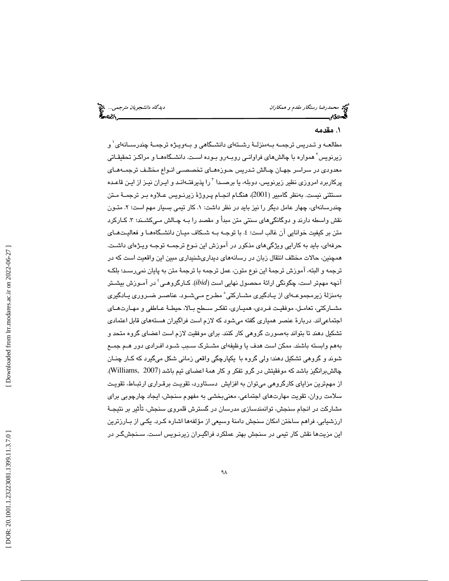د*یدگاه دانشجویان مترجمی… چ*خ<br>**گمتونگریسی** 

## . مقدمه 1

مطالعــه و تــدريس ترجمــه بــهمنزلــهٔ رشــتهای دانشــگاهی و بــهويـژه ترجمــهٔ چندرســـانهای` و زیرنویس<sup>٬</sup> همواره با چالشهای فراوانـی روبــهرو بــوده اسـت. دانشــگاههــا و مراکـز تحقیقـاتی معدودي در سراسر جهـان چـالش تـدريس حـوزه هـاي تخصصـي انـواع مختلـف ترجمـه هـاي پرکاربرد امروزی نظیر زیرنویس، دوبله، یا برصـدا <sup>۳</sup>را پذیرفتـهانـد و ایـران نیـز از ایـن قاعـده مستثني نيست. بهنظر گامبير (2001)، هنگـام انجـام پـروژهٔ زيرنـويس عـلاوه بـر ترجمــهٔ مـتن چندرسانهای، چهار عامل دیگر را نیز باید در نظر داشت: ۱. کار تیمی بسیار مهم است؛ ۲. متـون نقش واسطه دارند و دوگانگيهاي سنتي متن مبدأ و مقصد را بـه چـال ش مـي كشـند؛ 3 . كـاركرد متن بر كيفيت خوانايي آن غالب است؛ ٤. با توجـه بـه شـكاف ميـان دانشـگاههـا و فعاليـتهـاي حرفهاي، بايد به كارايي ويژگيهاي مذكور در آموزش اين نـوع ترجمـه توجـه ويـژه اي داشـت . همچنين، حالات مختلف انتقال زبان در رسانههاي ديداريشنيداري مبين اين واقعيت است كه در ترجمه و البته، آموزش ترجمة اين نوع متون، عمل ترجمه با ترجمة متن به پايان نميرسـد؛ بلكـه آنچه مهمتر است، چگونگی ارائهٔ محصول نهایی است (*ibid)*. کـارگروهـی<sup>؛</sup> در آمـوزش بیشـتر بهمنزلهٔ زیرمجموعــهای از یـادگیری مشــارکتی ْ مطـرح مـیشـود. عناصــر ضــروری یـادگیری مشـاركتي، تعامـل، موفقيـت فـردي، هميـاري، تفكـر سـطح بـالا، حيطـة عـاطفي و مهـارتهـاي اجتماعياند. دربارة عنصر همياري گفته ميشود كه لازم است فراگيران هستههاي قابل اعتمادي تشكيل دهند تا بتواند بهصورت گروهي كار كنند. براي موفقيت لازم است اعضاي گروه متحد و بههم وابسته باشند. ممكن است هدف يا وظيفهاي مشـترك سـبب شـود افـرادي دور هـم جمـع شوند و گروهي تشكيل دهند؛ ولي گروه با يكپارچگي واقعي زماني شكل ميگيرد كه كـار چنـان چالشبرانگيز باشد كه موفقيتش در گرو تفكر و كار همة اعضاي تيم باشد (2007 ,Williams(. از مهمترين مزاياي كارگروهي ميتوان به افزايش دسـتاورد، تقويـت برقـراري ارتبـاط، تقويـت سلامت روان، تقويت مهارتهاي اجتماعي، معنيبخشي به مفهوم سنجش، ايجاد چارچوبي براي مشاركت در انجام سنجش، توانمندسازي مدرسان در گسترش قلمروي سنجش، تأثير بر نتيجـة ارزشيابي، فراهم ساختن امكان سنجش دامنة وسيعي از مؤلفهها اشاره كـرد. يكـي از بـارزترين 1 اين مزيتها نقش كار تيمي در سنجش بهتر عملكرد فراگيـران زيرنـويس اسـت. سـنجش گـر در

 [\[ DOR: 20.1001.1.23223081.1399.11.3.7.0](https://dorl.net/dor/20.1001.1.23223081.1399.11.3.7.0) ] [\[ Downloaded from lrr.modares.ac.ir on 20](https://lrr.modares.ac.ir/article-14-27600-fa.html)22-06-27 ] Downloaded from lrr.modares.ac.ir on 2022-06-27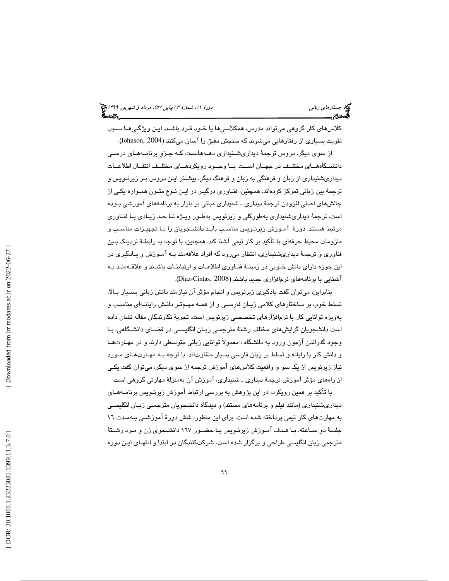كلاسهاي كار گروهي ميتواند مدرس، همكلاسيها يا خـود فـرد باشـد. ايـن ويژگـي هـا سـبب تقويت بسياري از رفتارهايي ميشوند كه سنجش دقيق را آسان ميكنند (2004 ,Johnson( .

از سوی ديگر، دروس ترجمهٔ ديداریشـنيداری دهـههاسـت كـه جـزو برنامـههـای درسـی دانشــگاههــاي مختلــف در جهــان اســت. بــا وجــود رويكردهــاي مختلــف انتقــال اطلاعــات ديداريشنيداري از زبان و فرهنگي به زبان و فرهنگ ديگر، بيشـتر ايـن دروس بـر زيرنـويس و ترجمهٔ بين زباني تمركز كردهاند. همچنين، فنــاوري درگيـر در ايـن نـوع متـون همـواره يكـي از چالشهای اصلی افزودن ترجمهٔ دیداری ـ شنیداری مبتنی بر بازار به برنامههای آموزشی بـوده است. ترجم ة ديداريشنيداري بهطوركلي و زيرنويس بهطـور ويـژه تـا حـد زيـادي بـا فنـاوري مرتبط هستند. دورة آمـوزش زيرنـويس مناسـب بايـد دانشـجويان را بـا تجهيـزات مناسـب و ملزومات محيط حرفهاي با تأكيد بر كار تيمي آشنا كند. همچنين، با توجه به رابطــهٔ نزديـك بـين فناوري و ترجمهٔ ديداريشنيداري، انتظار ميرود كه افراد علاقهمند بـه آمـوزش و يــادگيري در اين حوزه داراي دانش خـوبي در زمينـ ة فنـاوري اطلاعـات و ارتباطـات باشـند و علاقـه منـد بـه آشنايي با برنامه هاي نرمافزاري جديد باشند (Diaz-Cintas, 2008).

بنابراين، ميتوان گفت يادگيري زيرنويس و انجام مؤثر آن نيازمند دانش زباني بسـيار بـالا، تسلط خوب بر ساختارهاي كلامي زبـان فارسـي و از همـه مهـم تـر دانـش رايانـه اي مناسـب و بهويژه توانايي كار با نرمافزارهاي تخصصي زيرنويس است. تجربة نگارندگان مقاله نشان داده است دانشجويان گرايشهاي مختلف رشتة مترجمـي زبـان انگليسـي در فضـاي دانشـگاهي، بـا وجود گذراندن آزمون ورود به دانشگاه ، معمولاً توانايي زباني متوسطي دارند و در مهـار تهـا و دانش كار با رايانه و تسلط بر زبان فارسي بسيار متفاوتاند. با توجه بـه مهـارت هـاي مـورد نياز زيرنويس از يك سو و واقعيت كلاسهاي آموزش ترجمه از سوي ديگر، ميتوان گفت يكـي از راههاي مؤثر آموزش ترجمة ديداري ـ شنيداري، آموزش آن بهمنزلة مهارتي گروهي است.

با تأكيد بر همين رويكرد، در اين پژوهش به بررسي ارتباط آموزش زيرنـويس برنامـه هـاي ديداريشنيداري (مانند فيلم و برنامههاي مستند) و ديدگاه دانشجويان مترجمـي زبـان انگليسـي به مهارتهاي كار تيمي پرداخته شده است. براي اين منظور، شش دورة آموزشـي بـه مـدت 16 جلسهٔ دو سـاعته، بـا هـدف آمـوزش زيرنـويس بـا حضـور ١٦٧ دانشــجوي زن و مـرد رشـتهٔ مترجمي زبان انگليسي طراحي و برگزار شده است. شركتكنندگان در ابتدا و انتهـاي ايـن دوره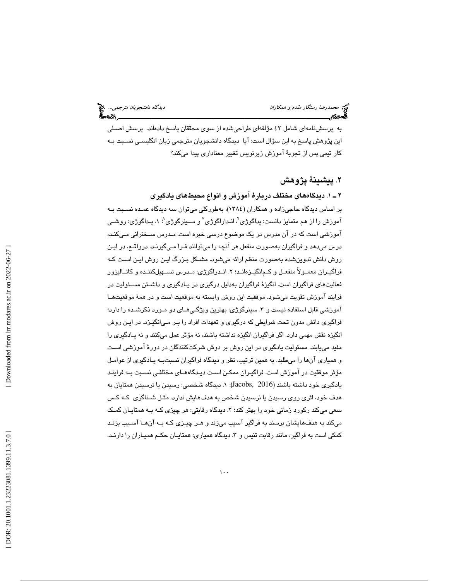به پرسشنامهاي شامل 42 مؤلفهاي طراحيشده از سوي محققان پاسخ دادهاند. پرسش اصـلي اين پژوهش پاسخ به اين سؤال است: آيا ديدگاه دانشجويان مترجمي زبان انگليسـي نسـبت بـه كار تيمي پس از تجربة آموزش زيرنويس تغيير معناداري پيدا ميكند؟

# . پيشينة پژوهش 2

### 1ـ 2 . ديدگاههاي مختلف دربارة آموزش و انواع محيطهاي يادگيري

بر اساس ديدگاه حاجيزاده و همكاران (1384)، بهطوركلي ميتوان سه ديدگاه عمـده نسـبت بـه آموزش را از هم متمايز دانست: پداگوژی'، انـداراگوژی<sup>۷</sup> و سـينرگوژی<sup>^</sup>: ۱. پـداگوژی: روشـ*ـ*ی آموزشي است كه در آن مدرس در يك موضوع درسي خبره است. مـدرس سـخنراني مـي كنـد، درس ميدهد و فراگيران بهصورت منفعل هر آنچه را ميتوانند فـرا مـي گيرنـد. در واقـع ، در ايـن روش دانش تدوينشده بهصورت منظم ارائه ميشود. مشـكل بـزرگ ايـن روش ايـن اسـت كـه فراگيــران معمــولا منفعــل و كــمانگيــزهانــد؛ ۲. انــدراگوژي: مــدرس تســـهيلكننــده و كاتــاليزور فعاليتهاي فراگيران است. انگيزة فراگيران بهدليل درگيري در يـادگيري و داشـتن مسـئوليت در فرايند آموزش تقويت ميشود. موفقيت اين روش وابسته به موقعيت است و در همة موقعيتهـا اموزشي قابل استفاده نيست و ٣. سينرگوژي: بهترين ويژگـي،اي دو مـورد ذكرشـده را دارد؛ فراگيري دانش مدون تحت شرايطي كه درگيري و تعهدات افراد را بـر مـي انگيـزد. در ايـن روش انگيزه نقش مهمي دارد. اگر فراگيران انگيزه نداشته باشند، نه مؤثر عمل ميكنند و نه يـادگيري را مفيد مييابند. مسئوليت يادگيري در اين روش بر دوش شركتكنندگان در دورة آموزشي اسـت و همياري آنها را ميطلبد. به همين ترتيب، نظر و ديدگاه فراگيران نسبتبـه يـادگيري از عوامـل مؤثر موفقيت در آموزش است. فراگيـران ممكـن اسـت ديـدگاه هـاي مختلفـي نسـبت بـه فراينـد يادگيري خود داشته باشند (2016 ,Jacobs 1(: . ديدگاه شخصي: رسيدن يا نرسيدن همتايان به هدف خود، اثري روي رسيدن يا نرسيدن شخص به هدفهايش ندارد. مثـل شـناگري كـه كـس سعی میکند رکورد زمانی خود را بهتر کند؛ ۲. دیدگاه رقابتی: هر چیزی کـه بـه همتایـان کمـک ميكند به هدفهايشان برسند به فراگير آسيب ميزند و هـر چيـزي كـه بـه آن هـا آسـيب بزنـد كمكي است به فراگير، مانند رقابت تنيس و ۳. ديدگاه همياری: همتايــان حكــم هميــاران را دارنــد.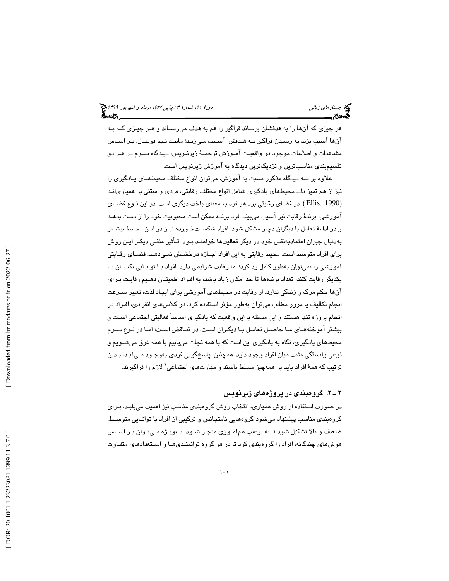هر چيزي كه آنها را به هدفشان برساند فراگير را هم به هدف ميرسـاند و هـر چيـزي كـه بـه آنها آسيب بزند به رسيدن فراگير بـه هـدفش آسـيب مـي زنـد؛ ماننـد تـيم فوتبـال. بـر اسـاس مشاهدات و اطلاعات موجود در واقعيـت آمـوزش ترجمـة زيرنـويس، ديـدگاه سـوم در هـر دو تقسيمبندي مناسبترين و نزديكترين ديدگاه به آموزش زيرنويس است.

علاوه بر سه ديدگاه مذكور نسبت به آموزش، ميتوان انواع مختلف محيطهـاي يـادگيري را نيز از هم تميز داد. محيطهاي يادگيري شامل انواع مختلف رقابتي، فردي و مبتني بر همياريانـد (Ellis, 1990 ). در فضاي رقابتي برد هر فرد به معناي باخت ديگري است. در اين نـوع فضــاي آموزشي، برندة رقابت نيز آسيب ميبيند. فرد برنده ممكن است محبوبيت خود را از دست بدهـد و در ادامة تعامل با ديگران دچار مشكل شود. افراد شكسـت خـورده نيـز در ايـن محـيط بيشـتر بهدنبال جبران اعتمادبهنفس خود در ديگر فعاليتها خواهنـد بـود. تـأثير منفـي ديگـر ا يـن روش براي افراد متوسط است. محيط رقابتي به اين افراد اجـازه درخشـش نمـي دهـد. فضـاي رقـابتي آموزشي را نميتوان بهطور كامل رد كرد؛ اما رقابت شرايطي دارد: افراد بـا توانـايي يكسـان بـا يكديگر رقابت كنند، تعداد برندهها تا حد امكان زياد باشد، به افـراد اطمينـان دهـيم رق ابـت بـراي آنها حكم مرگ و زندگي ندارد. از رقابت در محيطهاي آموزشي براي ايجاد لذت، تغيير سـرعت انجام تكاليف يا مرور مطالب ميتوان بهطور مؤثر استفاده كرد. در كلاسهاي انفرادي، افـراد در انجام پروژه تنها هستند و اين مسئله با اين واقعيت كه يادگيري اساساً فعاليتي اجتماعي اسـت و بيشتر آموختههـاي مـا حاصـل تعامـل بـا ديگـران اسـت، در تنـاقض اسـت؛ امـا در نـوع سـوم محيطهاي يادگيري، نگاه به يادگيري اين است كه يا همه نجات مييابيم يا همه غرق ميشـويم و نوعي وابستگي مثبت ميان افراد وجود دارد. همچنين، پاسخگويي فردي بهوجـود مـي آيـد، بـدين ترتيب كه همة افراد بايد بر همهچيز مسلط باشند و مهارتهاي اجتماعي 9 لازم را فراگيرند.

### 2ـ 2 . گروهبندي در پروژههاي زيرنويس

در صورت استفاده از روش همياري، انتخاب روش گروهبندي مناسب نيز اهميت مييابـد. بـراي گروهبندي مناسب پيشنهاد ميشود گروههايي نامتجانس و تركيبي از افراد با توانـايي متوسـط، ضعيف و بالا تشكيل شود تا به ترغيب همآمـوزي منجـر شـود؛ بـه ويـژه مـي تـوان بـر اسـاس 9 هوشهاي چندگانه، افراد را گروهبندي كرد تا در هر گروه توانمنـدي هـا و اسـتعدادهاي متفـاوت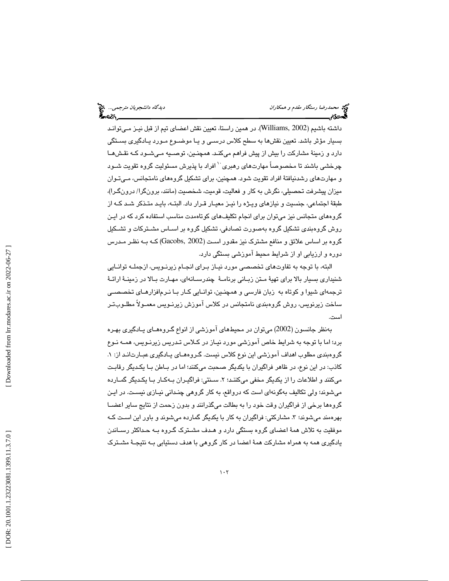داشته باشيم (2002 ,Williams(. در همين راستا، تعيين نقش اعضاي تيم از قبل نيـز مـي توانـد بسيار مؤثر باشد. تعيين نقشها به سطح كلاس درسـي و يـا موضـوع مـورد يـادگيري بسـتگي دارد و زمينة مشاركت را بيش از پيش فراهم ميكنـد. همچنـين، توصـيه مـي شـود كـه نقـش هـا چرخشي باشند تا مخصوصاً مهارتهاي رهبري<sup>. \</sup> افراد با پذيرش مسئوليت گروه تقويت شـود و مهارتهاي رشدنيافتة افراد تقويت شود. همچنين، براي تشكيل گروههاي نامتجانس، مـي تـوان ميزان پيشرفت تحصيلي، نگرش به كار و فعاليت، قوميت، شخصيت (مانند، برونگرا/ درونگـرا)، طبقة اجتماعي، جنسيت و نيازهاي ويـژه را نيـز معيـار قـرار داد. البتـه، بايـد متـ ذكر شـد كـه از گروههاي متجانس نيز ميتوان براي انجام تكليفهاي كوتاهمدت مناسب استفاده كرد كه در ايـن روش گروهبندي تشكيل گروه بهصورت تصادفي، تشكيل گروه بر اسـاس مشـتركات و تشـكيل گروه بر اساس علائق و منافع مشترك نيز مقدور اسـت ( 2002 ,Gacobs (كـه بـه نظـر مـدرس دوره و ارزيابي او از شرايط محيط آموزشي بستگي دارد.

البته، با توجه به تفاوتهاي تخصصي مورد نيـاز بـراي انجـام زيرنـويس، از جملـه توانـايي شنيداري بسيار بالا براي تهية مـتن زبـاني برنامـة چندرسـانه اي، مهـارت بـالا در زمينـة ارائـة ترجمهاي شيوا و كوتاه به زبان فارسي و همچنـين، توانـايي كـار بـا نـرم افزارهـاي تخصصـي ساخت زيرنويس، روش گروهبندي نامتجانس در كلاس آموزش زيرنـويس معمـولاً مطلـوب تـر است.

 بهنظر جانسون (2002) ميتوان در محيطهاي آموزشي از انواع گـروه هـاي يـادگيري بهـره برد؛ اما با توجه به شرايط خاص آموزشي مورد نيـاز در كـلاس تـد ريس زيرنـويس، همـه نـوع گروهبندی مطلوب اهداف آموزشی اين نوع كلاس نيست. گـروهمـای يـادگيری عبـارت|نـد از: ۱. كاذب: در اين نوع، در ظاهر فراگيران با يكديگر صحبت ميكنند؛ اما در بـاطن بـا يكـديگر رقابـت میكنند و اطلاعات را از یكدیگر مخفی میكننـد؛ ۲. سـنتی: فراگیـران بــهكـار بــا یكـدیگر گمــارده میشوند؛ ولی تكالیف بهگونهای است كه درواقع، به كار گروهی چنـدانی نیـازی نیسـت. در ایـن گروهها برخي از فراگيران وقت خود را به بطالت ميگذرانند و بدون زحمت از نتايج ساير اعضـا بهرهمند میشوند؛ ۳. مشارکتی: فراگیران به کار با یکدیگر گمارده میشوند و باور این اسـت کـه موفقيت به تلاش همة اعضاي گروه بستگي دارد و هـدف مشـترك گـروه بـه حـداكثر رسـاندن يادگيري همه به همراه مشاركت همة اعضا در كار گروهي با هدف دستيابي بـه نتيجـة مشـترك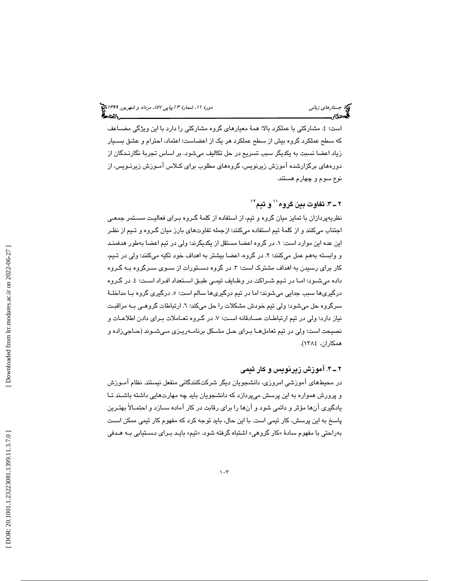است؛ ٤. مشارکتی با عملکرد بالا: همهٔ معیارهای گروه مشارکتی را دارد با این ویژگی مضــاعف كه سطح عملكرد گروه بيش از سطح عملكرد هر يك از اعضاست؛ اعتماد، احترام و عشق بسـيار زياد اعضا نسبت به يكديگر سبب تسريع در حل تكاليف ميشود. بر اساس تجربة نگارنـدگان از دورههاي برگزارشده آموزش زيرنويس، گروههاي مطلوب براي كـلاس آمـوزش زيرنـويس، از نوع سوم و چهارم هستند.

# ۲ ــ ۳. تفاوت بين گروه'' و تيم''

نظريهپردازان با تمايز ميان گروه و تيم، از استفاده از كلمة گـروه بـراي فعاليـت مسـتمر جمعـي اجتناب ميكنند و از كلمة تيم استفاده ميكنند؛ ازجمله تفاوتهاي بارز ميان گـروه و تـيم از نظـر اين عده اين موارد است: ١. در گروه اعضا مستقل از يكديگرند؛ ولي در تيم اعضا بهطور هدفمنـد و وابسته بههم عمل میكنند؛ ۲. در گروه، اعضا بیشتر به اهداف خود تكيه میكنند؛ ولی در تـيم، کار برای رسیدن به اهداف مشترک است؛ ۳. در گروه دســتورات از ســوی ســرگروه بــه گــروه داده میشــود؛ امــا در تــيم شــراكت در وظــايف تيمــی طبــق اســتعداد افــراد اســت؛ ٤. در گــروه درگیریها سبب جدایی میشوند؛ اما در تیم درگیریها سالم است؛ ٥. درگیری گروه بــا مداخلــهٔ سرگروه حل میشود؛ ولی تیم خودش مشكلات را حل میكند؛ ٦. ارتباطات گروهـی بــه مراقبـت نياز دارد؛ ولي در تيم ارتباطـات صــادقانه اسـت؛ ٧. در گـروه تعــاملات بـراي دادن اطلاعــات و نصيحت است؛ ولي در تيم تعاملهـا بـراي حـل مشـكل برنامـه ريـزي مـي شـوند (حـاجي زاده و همكاران، 1384 ).

# 4ـ 2 . آموزش زيرنويس و كار تيمي

در محيطهای اموزشی امروزی، دانشجویان دیگر شرکتکنندگانی منفعل نیستند. نظام امـوزش و پرورش همواره به اين پرسش ميپردازد كه دانشجويان بايد چه مهارتهايي داشته باشـند تـا يادگيري آنها مؤثر و دائمي شود و آنها را براي رقابت در كار آماده ســازد و احتمــالاً بهتـرين پاسخ به اين پرسش، كار تيمي است. با اين حال، بايد توجه كرد كه مفهوم كار تيمي ممكن اسـت بهراحتي با مفهوم سادهٔ «کار گروهي» اشتباه گرفته شود. «تيم» بايـد بـراي دسـتيابي بـه هـدفي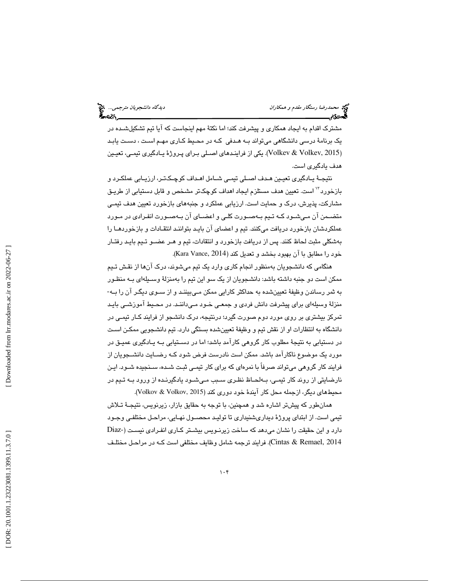مشترک اقدام به ايجاد همکاری و پيشرفت کند؛ اما نکتۀ مهم اينجاست که آيا تيم تشکيلشـده در يک برنامهٔ درسی دانشگاهی میتواند بـه هـدفی کـه در محـيط کــاری مهـم اسـت ، دسـت يابـد 2015 ,Volkev & Volkev(. يكي از فراينـدهاي اصـلي بـراي پـروژ ة يـادگيري تيمـي، تعيـين ) هدف يادگيري است.

نتيجـهٔ يـادگيري تعيـين هـدف اصـلي تيمـي شـامل اهـداف كوچـكـتـر، ارزيـابي عملكـرد و بازخورد<sup>۱۲</sup> است. تعيين هدف مستلزم ايجاد اهداف كوچك<code>تر مشخص و قابل دستيابي از طريـق</code> مشاركت، پذيرش، درك و حمايت است. ارزيابي عملكرد و جنبههاي بازخورد تعيين هدف تيمـي متضـمن آن مـيشـود كـه تـيم بـهصـورت كلـي و اعضـاي آن بـهصـورت انفـرادي در مـورد عملكردشان بازخورد دريافت ميكنند. تيم و اعضاي آن بايـد بتواننـد انتقـادات و بازخوردهـا را بهشكلي مثبت لحاظ كنند. پس از دريافت بازخورد و انتقادات، تيم و هـر عضـو تـيم بايـد رفتـار خود را مطابق با آن بهبود بخشد و تعديل كند (Kara Vance, 2014).

هنگامي كه دانشجويان بهمنظور انجام كاري وارد يك تيم ميشوند، درك آنها از نقـش تـيم ممكن است دو جنبه داشته باشد: دانشجويان از يك سو اين تيم را بهمنزلة وسـيله اي بـه منظـور به ثمر رساندن وظيف ة تعيينشده به حداكثر كارايي ممكن مـي بيننـد و از سـوي ديگـر آن را بـه - منزلة وسيلهاي براي پيشرفت دانش فردي و جمعـي خـود مـي داننـد. در محـيط آموزشـي بايـد تمركز بيشتري بر روي مورد دوم صورت گيرد؛ درنتيجه، درك دانشجو از فرايند كـار تيمـي در دانشگاه به انتظارات او از نقش تيم و وظيفهٔ تعيينشده بستگي دارد. تيم دانشجويي ممكـن اسـت در دستيابي به نتيجهٔ مطلوب كار گروهي كارآمد باشد؛ اما در دسـتيابي بـه يـادگيري عميـق در مورد يك موضوع ناكارآمد باشد. ممكن است نادرست فرض شود كـه رضـايت دانشـجويان از يافر ند كار گروهي ميتواند صرفاً با نمرهاي كه براي كار تيمـي ثبـت شـده ، سـنجيده شـود. ايـن نارضايتي از روند كار تيمـي، بـه لحـاظ نظـري سـبب مـي شـود يادگيرنـده از ورود بـه تـيم در محيطهاي ديگر، ازجمله محل كار آيندهٔ خود دوري كند (Volkov & Volkov, 2015).

همانطور كه پيشتر اشاره شد و همچنين، با توجه به حقايق بازار، زيرنويس، نتيجـهٔ تـلاش تيمي است. از ابتداي پروژ ة ديداريشنيداري تا توليـد محصـول نهـايي ، مراحـل مختلفـي وجـود دارد و اين حقيقت را نشان ميدهد كه ساخت زيرنـويس بيشـتر كـار ي انفـرادي نيسـت ( -Diaz Cintas & Remael, 2014). فرايند ترجمه شامل وظايف مختلفي است كـه در مراحـل مختلـف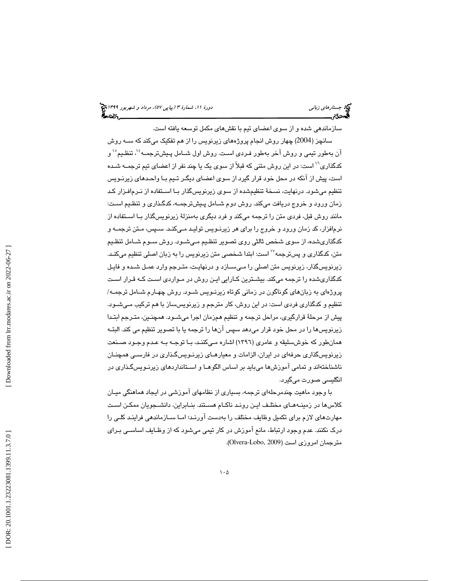# (پياپي 57)، مرداد و شهريور 1399 جستارهاي زباني دورة ،11 شمارة 3

سازماندهي شده و از سوي اعضاي تيم با نقشهاي مكمل توسعه يافته است.

سانچز (2004) چهار روش انجام پروژههاي زيرنويس را از هم تفكيك ميكند كه سـه روش آن بهطور تيمي و روش آخر بهطور فـردي اسـت. روش اول شــامل پـيشترجمــه ٔ`، تنظـيم ٛ` و کدگذاری<sup>7</sup>' است: در این روش متنی که قبلاً از سوی یک یا چند نفر از اعضای تیم ترجمــه شـده است، پيش از آنكه در محل خود قرار گيرد از سوي اعضاي ديگـر تـيم بـا واحـدهاي زيرنـويس تنظيم ميشود. درنهايت، نسخة تنظيمشده از سوي زيرنويسگذار بـا اسـتفاده از نـرم افـزار كـد زمان ورود و خروج دريافت ميكند. روش دوم شـامل پـيش ترجمـه، كدگـذاري و تنظـيم اسـت: مانند روش قبل، فردي متن را ترجمه ميكند و فرد ديگري بهمنزلة زيرنويسگذار بـا اسـتفاده از نرمافزار، كد زمان ورود و خروج را براي هر زيرنـويس توليـد مـي كنـد. سـپس، مـتن ترجمـه و كدگذاريشده، از سوي شخص ثالثي روي تصوير تنظـيم مـي شـود. روش سـوم شـامل تنظـيم متن، كدگذاری و پسترجمه<sup>\\</sup> است: ابتدا شخصی متن زیرنویس را به زبان اصلی تنظیم میكنـد. زيرنويسگذار، زيرنويس متن اصلي را مـي سـازد و در نهايـت، متـرجم وارد عمـل شـده و فايـل كدگذاریشده را ترجمه میكند. بیشـترین كـارایی ایـن روش در مـواردی اسـت كـه قـرار اسـت پروژهاي به زبانهاي گوناگون در زماني كوتاه زيرنـويس شـود. روش چهـارم شـامل ترجمـه/ تنظيم و كدگذاري فردي است: در اين روش، كار مترجم و زيرنويسساز با هم تركيب مـي شـود. پيش از مرحلة قرارگيري، مراحل ترجمه و تنظيم همزمان اجرا ميشـود. همچنـين، متـرجم ابتـدا زيرنويسها را در محل خود قرار ميدهد سپس آنها را ترجمه يا با تصوير تنظيم مي كند. البتـه همانطور كه خوشسليقه و عامري (1396 ) اشاره مـي كننـد، بـا توجـه بـه عـدم وجـود صـنعت زيرنويسگذاري حرفهاي در ايران، الزامات و معيارهـاي زيرنـويسگـذاري در فارسـي همچنـان ناشناختهاند و تمامي آموزشها ميبايد بر اساس الگوهـا و اسـتانداردهاي زيرنـويس گـذاري در انگليسي صورت ميگيرد.

با وجود ماهيت چندمرحلهاي ترجمه، بسياري از نظامهاي آموزشي در ايجاد هماهنگي ميـان كلاسها در زمينــههــاي مختلـف ايـن رونـد ناكـام هسـتند. بنــابراين، دانشـــجويان ممكـن اسـت مهارتـهای لازم برای تكمیل وظایف مختلف را بهدست اورنـد؛ امـا ســازماندهی فراینـد كلـی را درك نكنند. عدم وجود ارتباط، مانع آموزش در كار تيمي ميشود كه از وظـايف اساسـي بـراي مترجمان امروزي است (Olvera-Lobo, 2009).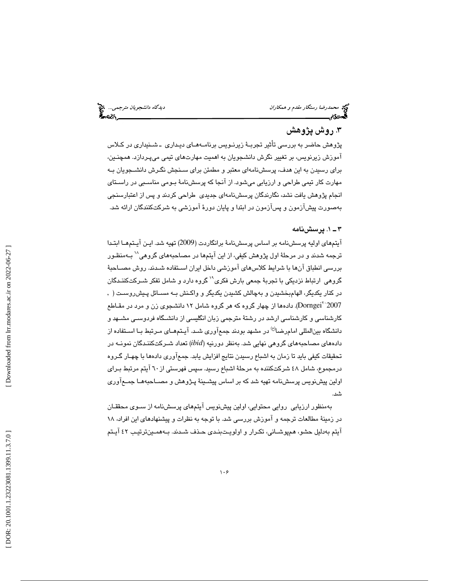دی*دگاه دانشجویان مترجمی...* چ<mark>خ</mark><br>استاد استاد استاده کلیده

# .3 روش پژوهش

پژوهش حاضر به بررسي تأثير تجربـة زيرنـويس برنامـه هـاي ديـداري ـ شـنيداري در كـلاس آموزش زيرنويس، بر تغيير نگرش دانشجويان به اهميت مهارتهاي تيمي ميپـردازد. همچنـين، براي رسيدن به اين هدف، پرسشنامهاي معتبر و مطمئن براي سـنجش نگـرش دانشـجويان بـه مهارت كار تيمي طراحي و ارزيابي ميشود. از آنجا كه پرسشنامة بـومي مناسـبي در راسـتاي انجام پژوهش يافت نشد، نگارندگان پرسشنامهاي جديدي طراحي كردند و پس از اعتبارسنجي بهصورت پيشآزمون و پسآزمون در ابتدا و پايان دورة آموزشي به شركتكنندگان ارائه شد.

#### 1ـ 3 . پرسشنامه

آيتمهای اوليه پرسشنامه بر اساس پرسشنامهٔ برانگاردت (2009) تهيه شد. ايـن آيـتمهــا ابتـدا<br>ترجمه شدند و در مرحلهٔ اول پژوهش کيفي، از اين آيتمها در مصـاحبههای گروهی^` بــهمنظـور بررسي انطباق آنها با شرايط كلاسهاي آموزشي داخل ايران اسـتفاده شـدند . روش مصـاحب ة گروهی ارتباط نزديكی با تجربهٔ جمعی بارش فكری" گروه دارد و شامل تفكر شـركتكننـدگان در كنار يكديگر، الهامبخشيدن و بهچالش كشيدن يكديگر و واكـنش بـه مسـائل پـيش روسـت ( , Dorngei(. ها داده از چهار گروه كه هر گروه شامل 12 دانشجوي زن و مرد در مقـاطع <sup>20</sup> 2007 كارشناسي و كارشناسي ارشد در رشتة مترجمي زبان انگليسي از دانشـگاه فردوسـي مشـهد و دانشگاه بينالمللي امامرضا<sup>رع)</sup> در مشهد بودند جمعآوري شـد. آيـتمهـاي مـرتبط بـا اسـتفاده از دادههاي مصاحبههاي گروهي نهايي شد به. نظر دورنيه (*ibid* ( تعداد شـركت كننـدگان نمونـه در تحقيقات كيفي بايد تا زمان به اشباع رسيدن نتايج افزايش يابد. جمعآوري دادهها با چهـار گـروه درمجموع، شامل 48 شركتكننده به مرحلة اشباع رسيد. سپس فهرستي از 60 آيتم مرتبط بـراي اولين پيشنويس پرسشنامه تهيه شد كه بر اساس پيشـينة پـژوهش و مصـاحبه هـا جمـع آوري شد.

 بهمنظور ارزيابي روايي محتوايي، اولين پ يشنويس آيتمهاي پرسشنامه از سـوي محققـان در زمينة مطالعات ترجمه و آموزش بررسي شد. با توجه به نظرات و پيشنهادهاي اين افراد، 18 آيتم به دليل حشو، همپوشـاني، تكـرار و اولويـت بنـدي حـذف شـدند. بـه همـين ترتيـب 42 آيـتم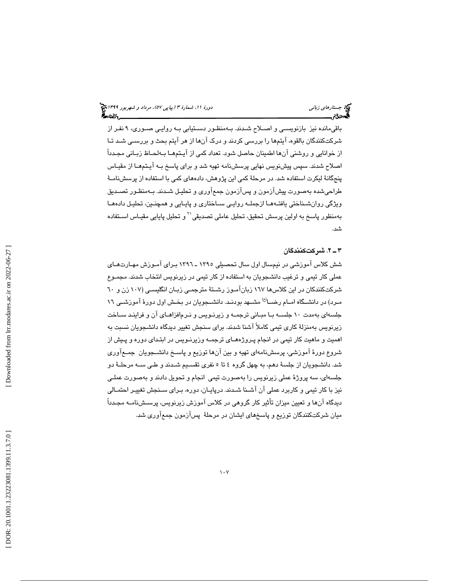باقيمانده نيز بازنويسـي و اصـلاح شـد ند. بـه منظـور د سـتيابي بـه روايـي صـوري، 9 نفـر از شركتكنندگان بالقوه ، آيتم ها را بررسي كردند و درك آنها از هر آيتم بحث و بررسـي شـد تـا از خوانايي و روشني آنها اطمينان حاصل شود. تعداد كمي از آيـتم هـا بـه لحـاظ زبـان ي مجـدداً اصلاح شدند. سپس پيشنويس نهايي پرسشنامه تهيه شد و براي پاسخ بـه آيـتم هـا از مقيـاس پنجگانهٔ لیکرت استفاده شد. در مرحلهٔ کمی این پژوهش، دادههای کمی با استفاده از پرسشنامـهٔ طراحي شده بهصورت پيشآزمون و پسآزمون جمعآوري و تحليـل شـدند. بــهمنظـور تصـديق ويژگي روانشـناختي يافتـهمـا ازجملـه روايـي سـاختاري و پايـايي و همچنـين، تحليـل دادهمـا بهمنظور پاسخ به اولین پرسش تحقیق، تحلیل عاملی تصدیقی<sup>۲</sup>٬ و تحلیل پایایی مقیـاس اســتفاده .شد

#### 2ـ 3 . شركتكنندگان

شش كلاس آموزشي در نيمسال اول سال تحصيلي 1395 ـ 1396 بـراي آمـوزش مهـارت هـاي عملي كار تيمي و ترغيب دانشجويان به استفاده از كار تيمي در زيرنويس انتخاب شدند. مجمـوع شركتكنندكان در اين كلاسها 167 زبانآمـوز رشـتة مترجمـي زبـان انگليسـي ( 107 زن و 60 مـرد) در دانشــگاه امــام رضــا<sup>(ع)</sup> مشــهد بودنـد. دانشــجويان در بخـش اول دورهٔ آموزشــی ١٦ جلسهاي بهمدت ١٠ جلسـه بـا مبـاني ترجمـه و زيرنـويس و نـرمافزاهـاي آن و فراينـد سـاخت زيرنويس بهمنزلة كاري تيمي كاملاً آشنا شدند. براي سنجش تغيير ديدگاه دانشجويان نسبت به اهميت و ماهيت كار تيمي در انجام پـروژه هـاي ترجمـه وزيرنـويس در ابتـداي دوره و پـيش از شروع دورة آموزشي، پرسشنامهاي تهيه و بين آنها توزيع و پاسـخ دانشـجويان جمـع آوري شد. دانشجويان از جلسة دهم، به چهل گروه 4 5تا نفري تقسـيم شـدند و طـي سـه مرحلـة دو جلسهاي، سه پروژة عملي زيرنويس را بهصورت تيمي انجام و تحويل دادند و بهصورت عملـي نيز با كار تيمي و كاربرد عملي آن آشـنا شـدند. در پايـان، دوره، بـراي سـنجش تغييـر احتمـالي ديدگاه آنها و تعيين ميزان تأثير كار گروهي در كلاس آموزش زيرنويس، پرسـش نامـه مجـدداً ميان شركتكنندگان توزيع و پاسخهاي ايشان در مرحلة پسآزمون جمعآوري شد.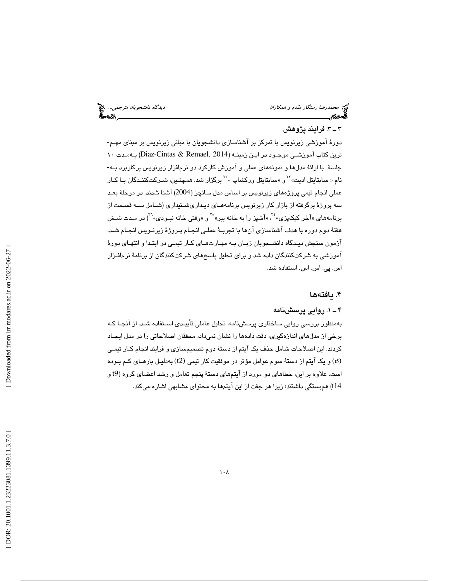د*یدگاه دانشجویان مترجمی...* چ<mark>خ</mark><br>اینچار است مس<u>سسست پ</u>انچار

## 3ـ 3 . فرايند پژوهش

دورة آموزشي زيرنويس با تمركز بر آشناسازي دانشجويان با مباني زيرنويس بر مبناي مهـم - ترين كتاب آموزشـي موجـود در ايـن زمينـه ( 2014 ,Remael & Cintas-Diaz (بـه مـدت 10 جلسهٔ با ارائهٔ مدلها و نمونههای عملی و آموزش کارکرد دو نرم|فزار زیرنویس پرکاربرد بـه-<br>نام « سابتایتل ادیت» <sup>۲۲</sup>و «سابتایتل ورکشاپ » <sup>۲۲</sup> برگزار شد. همچنـین، شــرکتکننـدگان بـا کــار عملي انجام تيمي پرو ژههاي زيرنويس بر اساس مدل سانچز (2004) آشنا شدند. در مرحلة بعـد سه پروژهٔ برگرفته از بازار کار زیرنویس برنامههـای دیـداریشــنیداری (شــامل ســه قســمت از<br>برنامههای «آخر کیکـپزی» ٔ `، «آشپز را به خانه ببر» ٔ ّ <sub>و «</sub>وقتی خانه نبـودی» ``) در مـدت شــش هفتة دوم دوره با هدف آشناسازي آنها با تجربـة عملـي انجـام پـروژة زيرنـويس انجـام شـد. آزمون سنجش ديـدگاه دانشـجويان زبـان بـه مهـارت هـاي كـار تيمـي در ابتـدا و انتهـاي دورة آموزشي به شركتكنندگان داده شد و براي تحليل پاسخهاي شركتكنندگان از برنامة نرمافـزار اس. پی. اس. اس. استفاده شد.

# ۴. يافتهها

### 1ـ 4 . روايي پرسشنامه

 بهمنظور بررسي روايي ساختاري پرسشنامه، تحليل عاملي تأييـدي اسـتفاده شـد. از آنجـا كـه برخي از مدلهاي اندازهگيري، دقت دادهها را نشان نميداد، محققان اصلاحاتي را در مدل ايجـاد كردند. اين اصلاحات شامل حذف يك آيتم از دستة دوم تصميمسازي و فرايند انجام كـار تيمـي (t5) و يک آيتم از دستهٔ سوم عوامل مؤثر در موفقيت كار تيمي (t2) بهدليـل بارهـاي كـم بـوده است. علاوه بر اين، خطاهاي دو مورد از آيتمهاي دستة پنجم تعامل و رشد اعضاي گروه ( 9t و t14) همبستگي داشتند؛ زيرا هر جفت از اين آيتمها به محتواي مشابهي اشاره ميكند.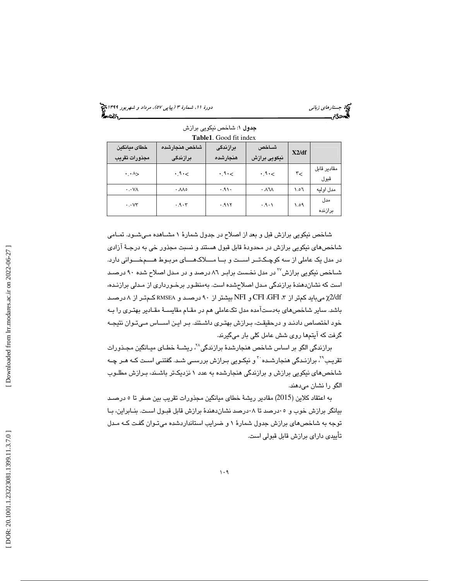(پياپي 57)، مرداد و شهريور 1399 جستارهاي زباني دورة ،11 شمارة 3

|                               |                               | <b>LADICI.</b> OUGH III IIIUCA |                        |       |                     |
|-------------------------------|-------------------------------|--------------------------------|------------------------|-------|---------------------|
| خطاى ميانگين<br>مجذورات تقريب | شاخص هنجارشده<br>برازندگی     | برازندگی<br>هنجارشده           | شــاخص<br>نيكويي برازش | X2/df |                     |
| $\cdot \cdot \wedge$          | .9<                           | .9<                            | $\cdot$ $9 \cdot \lt$  | r<    | مقادىر قاىل<br>قبول |
| $\cdot \cdot \vee \wedge$     | $\cdot \lambda \lambda \circ$ | ۰٬۹۱۰                          | ٠.٨٦٨                  | 0.۱   | مدل اوليه           |
| $\cdots$ $V\tau$              | .9.7                          | ۰.۹۱۲                          | ۰۰۱۰                   | ۱.٥۹  | مدل<br>برازنده      |

#### جدول 1: شاخص نيكويي برازش **Table1**. Good fit index

شاخص نيكويي برازش قبل و بعد از اصلاح در جدول شمارة 1 مشـاهده مـي شـود. تمـامي شاخصهاي نيكويي برازش در محدودهٔ قابل قبول هستند و نسبت مجذور خي به درجـهٔ آزادي در مدل يك عاملي از سه كوچـك تــر اســت و بــا مـــلاك هـــاي مربـوط هـــم خـــوا ني دارد. شــاخص نیكویی برازش<sup>۷۷</sup> در مدل نخـست برابـر ۸٦ درصد و در مـدل اصلاح شده ۹۰ درصـد است كه نشاندهندهٔ برازندگی مـدل اصلاح شده است. بهمنظـور برخـورداری از مـدلی برازنـده، ميبايد كمتر از ، 3 GFI، CFI و NFI بيشتر از 90 درصـد و RMSEA كـم تـر از 8 درصـد χ2/df باشد. ساير شاخصهاي هب دستآمده مدل تكعاملي هم در مقـام مقايسـة مقـادير بهتـري را بـه خود اختصاص دادنـد و درحقيقـت، بـرازش بهتـري داشـتند. بـر ايـن اســاس مـي تـوان نتيجـه گرفت كه آيتمها روي شش عامل كلي بار ميگيرند .

برازندگی الگو بر اساس شاخص هنجارشدهٔ برازندگی $^{\gamma}$ ، ریشـهٔ خطـای میـانگین مجـذورات تقریـب<sup>۲</sup>٪ برازنـدگی هنجارشـده َ ّ و نیكـویی بـرازش بررســی شـد. گفتنــی اسـت كـه هـر چـه شاخصهاي نيكويي برازش و برازندگي هنجارشده به عدد 1 نزديكتر باشـند، بـرازش مطلـوب الگو را نشان ميدهند.

به اعتقاد كلاين (2015 ) مقادير ريش ة خطاي ميانگين مجذورات تقريب بين صفر 5تا درصـد بيانگر برازش خوب و 05درصد تا 08درصد نشاندهندة برازش قابل قبـول اسـت. بنـابراين، بـا توجه به شاخصهاي برازش جدول شمارة 1 و ضرايب استانداردشده ميتـوان گفـت كـه مـدل تأييدي داراي برازش قابل قبولي است.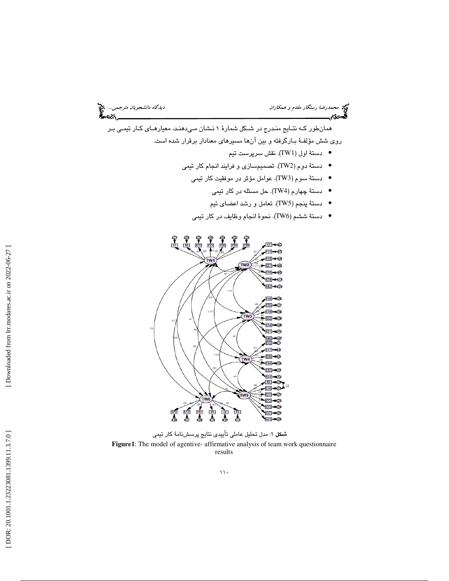د*یدگاه دانشجویان مترجمی...* چ<mark>خ</mark><br>این موکور<br>این موکور

# محمد محم*درضا رستگار مقدم و همكاران*<br>گ**یردگام**

همانطور كـه نتـايج منـدرج در شـكل شمارة 1 نـشان مـي دهنـد ، معيارهـاي كـار تيمـي بـر روي شش مؤلفـهٔ بـارگرفته و بين آنها مسيرهاي معنادار برقرار شده است.

- دستهٔ اول (TW1). نقش سرپرست تیم  $\bullet$
- دستة دوم (2TW(. تصميمسازي و فرايند انجام كار تيمي
	- دستة سوم (3TW(. عوامل مؤثر در موفقيت كار تيمي
		- دستة چهارم (4TW(. حل مسئله در كار تيمي •
		- دستة پنجم (5TW(. تعامل و رشد اعضاي تيم •
	- دستة ششم (6TW(. نحوة انجام وظايف در كار تيمي •



شكل 1: مدل تحليل عاملي تأييدي نتايج پرسشنامة كار تيمي **Figure1**: The model of agentive- affirmative analysis of team work questionnaire results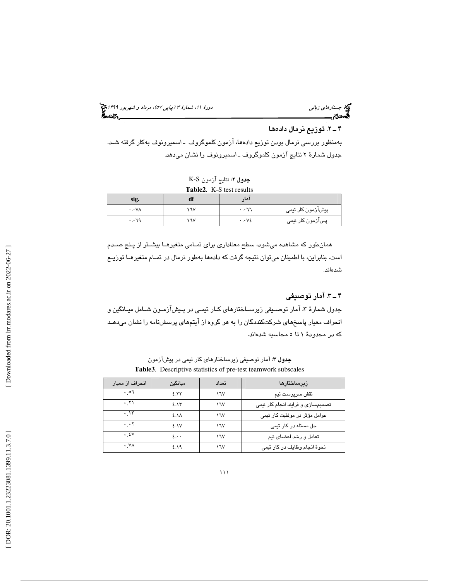(پياپي 57)، مرداد و شهريور 1399 جستارهاي زباني دورة ،11 شمارة 3

# 2ـ 4 ها . توزيع نرمال داده

 بهمنظور بررسي نرمال بودن توزيع دادهها، آزمون كلموگروف ـ اسميرونوف بهكار گرفته شـد. جدول شمارة 2 نتايج آزمون كلموگروف ـ اسميرونوف را نشان ميدهد.

| جدول ٢: نتايج آزمون K-S     |
|-----------------------------|
| $Table2 \tK-S$ test results |

|                           |     | <b>Table2.</b> N-S test results |                   |
|---------------------------|-----|---------------------------------|-------------------|
| sig.                      | aı  | ا مار                           |                   |
| $\cdot \cdot \vee \wedge$ | ١٦V | $\cdot \cdot$ ٦٦                | پیشآزمون کار تیمی |
| $\cdot$ . ٦٩              | ١٦٧ | $\cdot \cdot \vee \epsilon$     | پسآزمون کار تیمی  |

همانطور كه مشاهده ميشود، سطح معناداري براي تمـامي متغيرهـا بيشـتر از پـنج صـدم است. بنابراين، با اطمينان ميتوان نتيجه گرفت كه دادهها بهطور نرمال در تمـام متغيرهـا توزيـع شده .اند

# 3ـ 4 . آمار توصيفي

جدول شمارهٔ ۳، امار توصـيفي زيرســاختارهاي كـار تيمـي در پـيش|زمـون شــامل ميـانگين و انحراف معيار پاسخهاي شركتكنددگان را به هر گروه از آيتمهاي پرسشنامه را نشان ميدهـد كه در محدودهٔ ۱ تا ٥ محاسبه شدهاند.

جدول 3: آمار توصيفي زيرساختارهاي كار تيمي در پيشآزمون **Table3**. Descriptive statistics of pre-test teamwork subscales

| انحراف از معیار    | مىانگىن                       | تعداد | زىرساختارها                       |
|--------------------|-------------------------------|-------|-----------------------------------|
| $. \circ 7$        | 2.57                          | ١٦٧   | نقش سرپرست تیم                    |
| ۰ ۲۱               | 2.15                          | ١٦٧   | تصمیمسازی و فرایند انجام کار تیمی |
| .15                | ٤.NA                          | ١٦٧   | عوامل مؤثر در موفقیت کار تیمی     |
| $\cdot \cdot \tau$ | <b>ENV</b>                    | ١٦٧   | حل مسئله در کار ت <u>می</u>       |
| . źV               | $\mathbf{5} \cdot \mathbf{6}$ | ١٦V   | تعامل و رشد اعضای تیم             |
| . VA               | ۶.۱۹                          | ١٦٧   | نحوۂ انجام وظایف در کار تیمی      |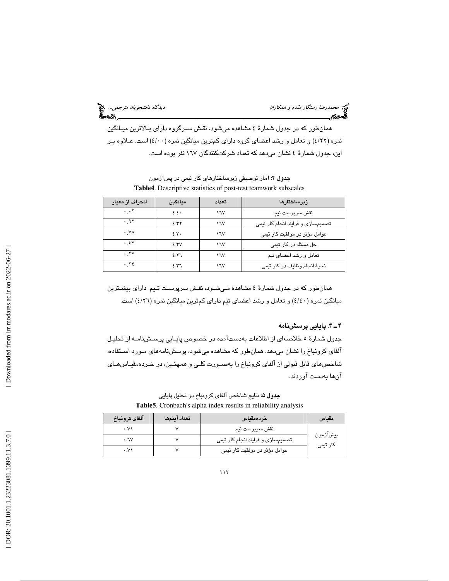محمد محمدرضا رستگار *مقدم و همكاران*<br>گ**يردگان<sub>وي</sub>** 

همانطور كه در جدول شمارة 4 مشاهده ميشود، نقـش سـرگروه داراي بـالاترين ميـانگين نمره (٤/٢٢) و تعامل و رشد اعضاي گروه داراي كمترين ميانگين نمره (٤/٠٠) است. عـلاوه بـر اين، جدول شمارة 4 نشان ميدهد كه تعداد شركتكنندگان 167 نفر بوده است.

| انحراف از معيار                 | ميانگين | تعداد | زىرساختارها                       |
|---------------------------------|---------|-------|-----------------------------------|
| $\cdot$ $\cdot$ $\cdot$ $\cdot$ | 5.5.    | ١٦٧   | نقش سرپرست تیم                    |
| ۹۲ .                            | 5.57    | ١٦V   | تصمیمسازی و فرایند انجام کار تیمی |
| . VA                            | 5.5     | ١٦V   | عوامل مؤثر در موفقیت کار تیمی     |
| . źV                            | 5.5V    | ١٦V   | حل مسئله در کار ت <u>می</u>       |
| ۰ ۲۷                            | 2.57    | ١٦V   | تعامل و رشد اعضای تیم             |
| .72                             | 2.57    | ١٦V   | نحوۂ انجام وظایف در کار تیمی      |

جدول 4: آمار توصيفي زيرساختارهاي كار تيمي در پسآزمون **Table4**. Descriptive statistics of post-test teamwork subscales

همانطور كه در جدول شمارة 4 مشاهده مـي شـود، نقـش سرپرسـت تـيم داراي بيشـترين ميانگين نمره ( 40/4 ) و تعامل و رشد اعضاي تيم داراي كمترين ميانگين نمره ( 26/4 ) است.

#### 4ـ 4 . پايايي پرسشنامه

جدول شمارة 5 خلاصهاي از اطلاعات بهدستآمده در خصوص پايـايي پرسـش نامـه از تحليـل آلفاي كرونباخ را نشان ميدهد. همانطور كه مشاهده ميشود، پرسشنامههاي مـورد اسـتفاده، شاخصهاي قابل قبولي از آلفاي كرونباخ را ب هصـورت كلـي و همچنـين، در خـرده مقيـاس هـاي آنها بهدست آوردند .

جدول 5: نتايج شاخص آلفاي كرونباخ در تحليل پايايي **Table5**. Cronbach's alpha index results in reliability analysis

| آلفاى كرونباخ        | تعداد آيتمها | خردەمقىاس                         | مقىاس    |
|----------------------|--------------|-----------------------------------|----------|
| $\cdot$ . $V\Lambda$ |              | نقش سرپرست تیم                    |          |
| $\cdot$ . $\vee$     |              | تصمیمسازی و فرایند انجام کار تیمی | پیشآزمون |
| $\cdot$ . $V\Lambda$ |              | عوامل مؤثر در موفقیت کار تیمی     | کار تیمی |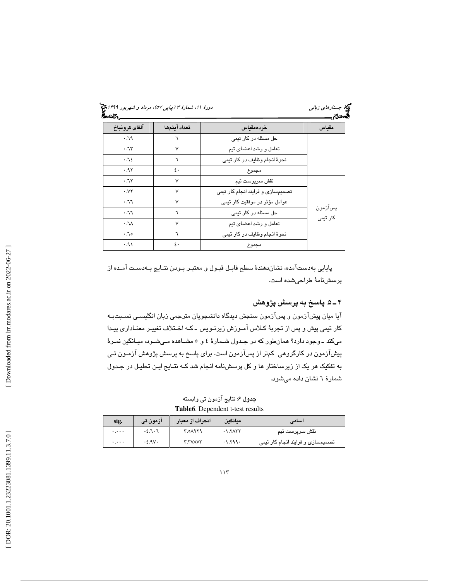| آلفاى كرونباخ         | تعداد آيتمها     | خردەمقياس                         | مقىاس               |
|-----------------------|------------------|-----------------------------------|---------------------|
| $P.\neg$              | ٦                | حل مسئله در کار تیمی              |                     |
| .7r                   | $\vee$           | تعامل و رشد اعضای تیم             |                     |
| .72                   | ٦                | نحوة انجام وظايف در كار تيمي      |                     |
| .95                   | $\mathfrak{c}$ . | مجموع                             |                     |
| .75                   | $\vee$           | نقش سرپرست تیم                    |                     |
| $\cdot$ . $V\Upsilon$ | $\vee$           | تصمیمسازی و فرایند انجام کار تیمی |                     |
| 5.77                  | $\vee$           | عوامل مؤثر در موفقیت کار تیمی     |                     |
| 5.77                  | ٦                | حل مسئله در کار تیمی              | پسازمون<br>کار تیمے |
| $\lambda$ .           | $\vee$           | تعامل و رشد اعضای تیم             |                     |
| ه ٦.٠                 | ٦                | نحوة انجام وظايف در كار تيمي      |                     |
| ۰۹۱.                  | $\mathfrak{c}$ . | مجموع                             |                     |

پايايي بهدستآمده، نشاندهندة سطح قابـل قبـول و معتبـر بـودن نتـايج بـه دسـ ت آمـده از پرسشنامة طراحيشده است.

# 5ـ 4 . پاسخ به پرسش پژوهش

آيا ميان پيشآزمون و پسآزمون سنجش ديدگاه دانشجويان مترجمي زبان انگليسـي نسـبتبـه كار تيمي پيش و پس از تجربهٔ كـلاس امـوزش زيرنـويس ـ كـه اخـتلاف تغييـر معنــادارى پيـدا مي كند ـ وجود دارد؟ همان طور كه در جـدول شـمارهٔ ٤ و ٥ مشـاهده مـي شـود، ميـانگين نمـرهٔ پيشآزمون در كارگروهي كمتر از پسآزمون است. براي پاسخ به پرسش پژوهش آزمـون تـي به تفكيك هر يك از زيرساختار ها و كل پرسشنامه انجام شد كـه نتـايج ايـن تحليـل در جـدول شمارة 6 نشان داده ميشود .

جدول 6: نتايج آزمون تي وابسته **Table6**. Dependent t-test results

| sig.     | آزمون تی   | انحراف از معيار | ميانكين   | اسامی                             |
|----------|------------|-----------------|-----------|-----------------------------------|
| $\cdots$ | $-5.7 - 7$ | <b>7.01979</b>  | $-1.5$    | نقش سرپرست تیم                    |
| $\cdots$ | $-5.9V$    | <b>T.TVAVT</b>  | $-1.799.$ | تصمیمسازی و فرایند انجام کار تیمی |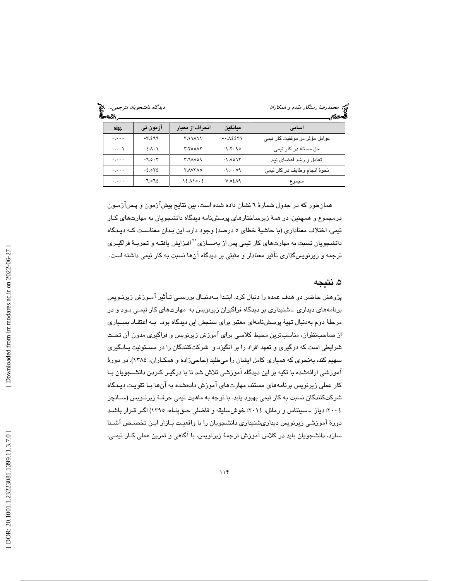| دیدگاه دانشجویان مترجمی<br>డించి |          |                 | <b>کیج</b> محم <i>درضا رستگار مقدم و همکاران</i><br>تحمدي |                               |
|----------------------------------|----------|-----------------|-----------------------------------------------------------|-------------------------------|
| sig.                             | ازمون تی | انحراف از معبار | مىانگىن                                                   | اسامى                         |
| $\cdots$                         | $-7.599$ | ۲.۱۱۸۱۱         | $-.$ $\lambda$ ٤٤٣١                                       | عوامل مؤثر در موفقیت کار تیمی |
| $\cdot \cdot \cdot \setminus$    | $-5.1.1$ | <b>7.700AY</b>  | $-1.7.90$                                                 | حل مسئله در کار تیمی          |
| $\cdots$                         | $-7.0.7$ | 00 ٨٨٢.٢        | $-1.1071$                                                 | تعامل و رشد اعضای تیم         |
| $\cdots$                         | $-2.0Y$  | <b>Y.AVYA0</b>  | $-1.009$                                                  | نحوۂ انجام وظایف در کار تیمی  |
| $\cdots$                         | $-7.072$ | $12.110 - 2$    | $-V.05AA$                                                 | مجموع                         |

همانطور كه در جدول شمارة 6 نشان داده شده است، بين نتايج پيشآزمون و پـس آزمـون درمجموع و همچنين، در همة زيرساختارهاي پرسشنامه ديدگاه دانشجويان به مهارتهاي كـار تيمي، اختلاف معناداري (با حاشية خطاي 5 درصد) وجود دارد. اين بـدان معناسـت كـه ديـدگاه دانشـجريان نسبت به مهارت $\epsilon$ اي كار تيمي پس از بهسـازي $^{17}$ افـزايش يافتـه و تجربـهٔ فراگيـري ترجمه و زيرنويسگذاري تأثير معنادار و مثبتي بر ديدگاه آنها نسبت به كار تيمي داشته است .

## . نتيجه 5

پژوهش حاضر دو هدف عمده را دنبال كرد. ابتـدا بـه دنبـال بررسـي تـأثير آمـوزش زيرنـويس برنامههای دیداری ـ شنیداری بر دیدگاه فراگیران زیرنویس به مهارتهای کار تیمـی بـود و در مرحلة دوم بهدنبال تهية پرسشنامهاي معتبر براي سنجش اين ديدگاه بود. بـه اعتقـاد بسـياري از صاحبنظران، مناسبترين محيط كلاسي براي آموزش زيرنويس و فراگيري مدون آن تحـت شرايطي است كه درگيري و تعهد افراد را بر انگيزد و شركتكنندگان را در مسـئوليت يـادگيري سهيم كند، بهنحوي كه همياري كامل ايشان را ميطلبد (حاجيزاده و همكـاران، 1384). در دورة آموزشي ارائهشده با تكيه بر اين ديدگاه آموزشي تلاش شد تا با درگيـر كـردن دانشـجويان بـا كار عملي زيرنويس برنامههاي مستند، مهارتهاي آموزش دادهشده به آنها بـا تقويـت ديـدگاه شركتكنندگان نسبت به كار تيمي بهبود يابد. با توجه به ماهيت تيمي حرفـة زيرنـويس (سـانچز 2004؛ دياز ـ سينتاس و رمائل ، 2014؛ خوشسليقه و فاضلي حـق پنـاه، 1395) اگـر قـرار باشـد دورة آموزشي زيرنويس ديداريشنيداري دانشجويان را با واقعيـت بـازار ايـن تخصـص آ شـنا سازد، دانشجويان بايد در كلاس آموزش ترجمة زيرنويس، با آگاهي و تمرين عملي كـار تيمـي،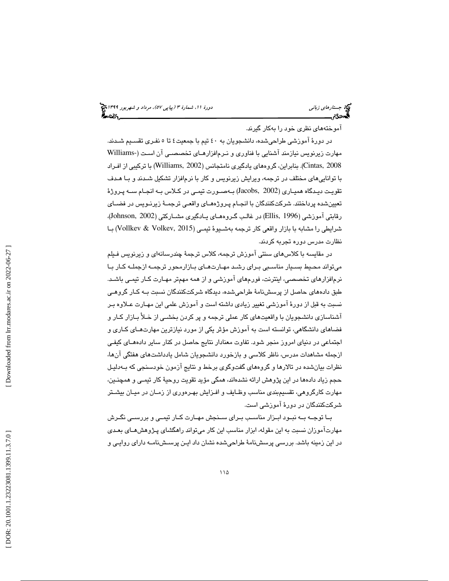# (پياپي 57)، مرداد و شهريور 1399 جستارهاي زباني دورة ،11 شمارة 3

آموختههاي نظري خود را بهكار گيرند.

در دورة آموزشي طراحيشده، دانشجويان به 40 تيم با جمعيت 4 5تا نفـري تقسـيم شـدند. مهارت زيرنويس نيازمند آشنايي با فناوري و نـرم|فزارهـاي تخصصـي آن اسـت (-Williams 2008 ,Cintas(. بنابراين، گروههاي يادگيري نامتجانس (2002 ,Williams (با تركيبي از افـراد با تواناييهاي مختلف در ترجمه، ويرايش زيرنويس و كار با نرمافزار تشكيل شـدند و بـا هـدف تقويـت ديـدگاه هميـاري (Jacobs, 2002) بـهصـورت تيمـي در كـلاس بـه انجـام سـه پـروژهً تعيينشده پرداختند. شركتكنندگان با انجـام پـروژه هـاي واقعـي ترجمـة زيرنـويس در فضـاي رقابتي آموزشي (1996 ,Ellis, ادر غالـب گـروهمـاي يـادگيري مشــاركتي (Johnson, 2002)، شرايطي را مشابه با بازار واقعي كار ترجمه بهشـيوة تيمـي ( 2015 ,Volkev & Vollkev ( بـا نظارت مدرس دوره تجربه كردند.

در مقايسه با كلاسهاي سنتي آموزش ترجمه، كلاس ترجمة چندرسانهاي و زيرنويس فـيلم ميتواند محـيط بسـيار مناسـبي بـراي رشـد مهـارت هـاي بـازارمحور ترجمـه از جملـه كـار بـا نرمافزارهاي تخصصي، اينترنت، فورمهاي آموزشي و از همه مهمتر مهـارت كـار تيمـي باشـد. طبق دادههاي حاصل از پرسشنامة طراحيشده، ديدگاه شركتكنندگان نسبت بـه كـار گروهـي نسبت به قبل از دورة آموزشي تغيير زيادي داشته است و آموزش علمي اين مهـارت عـلاوه بـر آشناسازي دانشجويان با واقعيتهاي كار عملي ترجمه و پر كردن بخشـي از خـلأ بـازار كـار و فضاهاي دانشگاهي، توانسته است به آموزش مؤثر يكي از مورد نيازترين مهارتهـاي كـاري و اجتماعي در دنياي امروز منجر شود. تفاوت معنادار نتايج حاصل در كنار ساير دادههـاي كيفـي ازجمله مشاهدات مدرس، ناظر كلاسي و بازخورد دانشجويان شامل يادداشتهاي هفتگي آنها، نظرات بيانشده در تالارها و گروههاي گفتوگوي برخط و نتايج آزمون خودسنجي كه بـه دليـل حجم زياد دادهها در اين پژوهش ارائه نشدهاند، همگي مؤيد تقويت روحية كار تيمـي و همچنـين، مهارت كارگروهي، تقسيمبندي مناسب وظـايف و افـزايش بهـره وري از زمـان در ميـان بيشـتر شركتكنندگان در دورة آموزشي است.

بـا توجــه بــه نبــود ابــزار مناســب بــراي ســنجش مهــارت كــار تيمــي و بررســي نگــرش مهارتآموزان نسبت به اين مقوله، ابزار مناسب اين كار ميتواند راهگشاي پـژوهش هـاي بعـدي در اين زمينه باشد. بررسي پرسشنامة طراحيشده نشان داد ايـن پرسـش نامـه داراي روايـي و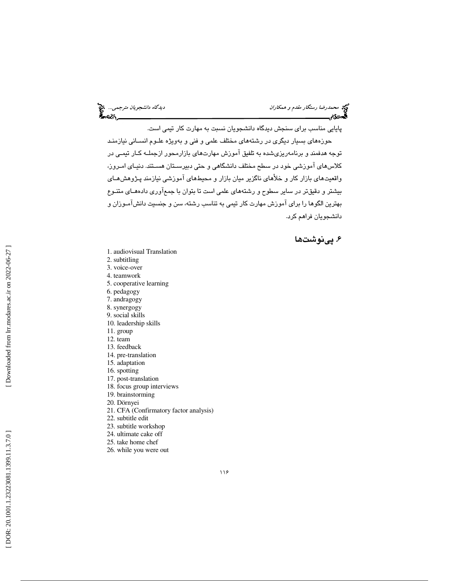پايايي مناسب براي سنجش ديدگاه دانشجويان نسبت به مهارت كار تيمي است. حوزههاي بسيار ديگري در رشتههاي مختلف علمي و فني و بهويژه علـوم انسـاني نيازمنـد توجه هدفمند و برنامهريزيشده به تلفيق آموزش مهارتهاي بازارمحور ازجملـه كـار تيمـي در كلاسهاي آموزشي خود در سطح مختلف دانشگاهي و حتي دبيرسـتان هسـتند. دنيـاي امـروز، واقعيتهاي بازار كار و خلأهاي ناگزير ميان بازار و محيطهاي آموزشي نيازمند پـژوهش هـاي بيشتر و دقيقتر در ساير سطوح و رشتههاي علمي است تا بتوان با جمعآوري دادههـاي متنـوع بهترين الگوها را براي آموزش مهارت كار تيمي به تناسب رشته، سن و جنسيت دانشآمـوزان و

## . پينوشت ها 6

دانشجويان فراهم كرد.

- 1. audiovisual Translation
- 2. subtitling
- 3. voice-over
- 4. teamwork
- 5. cooperative learning
- 6. pedagogy
- 7. andragogy
- 8. synergogy
- 9. social skills
- 10. leadership skills
- 11. group
- 12. team
- 13. feedback
- 14. pre-translation 15. adaptation
- 16. spotting
- 17. post-translation
- 18. focus group interviews
- 19. brainstorming
- 20. Dörnyei
- 21. CFA (Confirmatory factor analysis)
- 22. subtitle edit
- 23. subtitle workshop
- 24. ultimate cake off
- 25. take home chef
- 26. while you were out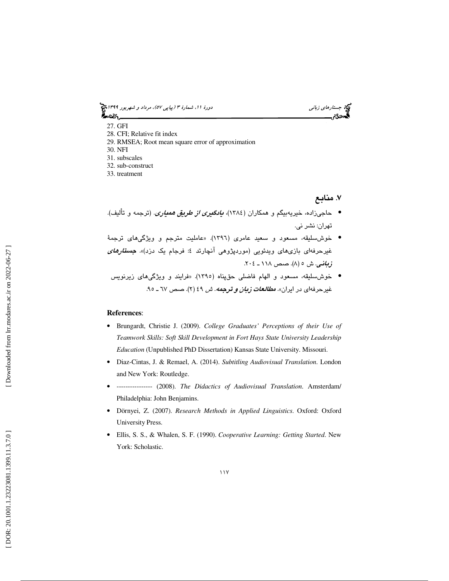(پياپي 57)، مرداد و شهريور 1399 جستارهاي زباني دورة ،11 شمارة 3

- 27. GFI 28. CFI; Relative fit index 29. RMSEA; Root mean square error of approximation 30. NFI 31. subscales 32. sub-construct
- 33. treatment

. منابع 7

- حاجيزاده، خيريهبيگم و همكاران (1384)، يادگيري از طريق همياري. (ترجمه و تأليف). تهران: نشر ني.
- خوشسليقه، مسعود و سعيد عامري (1396). «عامليت مترجم و ويژگيهاي ترجم ة غیرحرفهای بازیهای ویدئویی (موردپژوهی انچارتد ٤: فرجام یک دزد)». *جست<i>ارهای* زباني. ش ٥ (٨). صص ١١٨ ـ ٢٠٤.
- خوش سليقه، مسعود و الهام فاضلي حقپناه (١٣٩٥). «فرايند و ويژگي⁄هاي زيرنويس غيرحرفهاي در ايران». *مطالعات زبان و ترجمه. ش* ٤٩ (٢). صص ٦٧ ـ ٩٥.

#### **References**:

- Brungardt, Christie J. (2009). *College Graduates' Perceptions of their Use of Teamwork Skills: Soft Skill Development in Fort Hays State University Leadership Education* (Unpublished PhD Dissertation) Kansas State University. Missouri.
- Diaz-Cintas, J. & Remael, A. (2014). *Subtitling Audiovisual Translation*. London and New York: Routledge.
- ---------------- (2008). *The Didactics of Audiovisual Translation*. Amsterdam/ Philadelphia: John Benjamins.
- Dörnyei, Z. (2007). *Research Methods in Applied Linguistics*. Oxford: Oxford University Press.
- Ellis, S. S., & Whalen, S. F. (1990). *Cooperative Learning: Getting Started*. New York: Scholastic.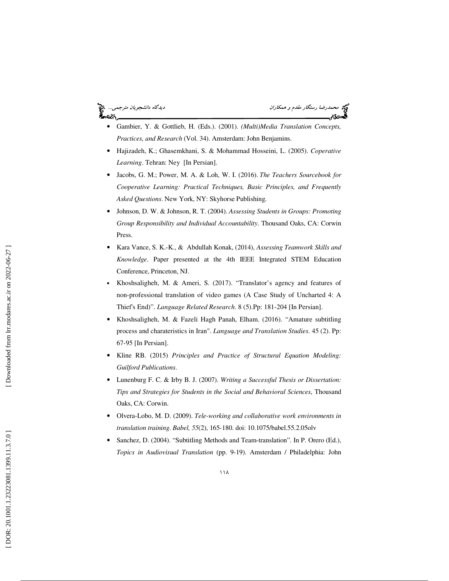# ે ∼વ્દે\.

میدرضا رستگار *مقدم و همكاران* ديدگار مقدم و همكاران ديدگاه د*انشجويان مترجمي...* کام دانشجويان مترجمي... کام د<br>**گاه دي**دگام ديدگاه ديدگاه دانشجوي دانشجوي دانشجوي دانشجويان ديدگاه دانشجويان مترجمي ديدگاه در ديدگاه در ديدگ

- Gambier, Y. & Gottlieb, H. (Eds.). (2001). *(Multi)Media Translation Concepts, Practices, and Research* (Vol. 34). Amsterdam: John Benjamins.
- Hajizadeh, K.; Ghasemkhani, S. & Mohammad Hosseini, L. (2005). *Coperative Learning*. Tehran: Ney [In Persian].
- Jacobs, G. M.; Power, M. A. & Loh, W. I. (2016). *The Teachers Sourcebook for Cooperative Learning: Practical Techniques, Basic Principles, and Frequently Asked Questions*. New York, NY: Skyhorse Publishing.
- Johnson, D. W. & Johnson, R. T. (2004). *Assessing Students in Groups: Promoting Group Responsibility and Individual Accountability*. Thousand Oaks, CA: Corwin Press.
- Kara Vance, S. K.-K., & Abdullah Konak, (2014), *Assessing Teamwork Skills and Knowledge*. Paper presented at the 4th IEEE Integrated STEM Education Conference, Princeton, NJ.
- Khoshsaligheh, M. & Ameri, S. (2017). "Translator's agency and features of non-professional translation of video games (A Case Study of Uncharted 4: A Thief's End)". *Language Related Research*. 8 (5).Pp: 181-204 [In Persian].
- Khoshsaligheh, M. & Fazeli Hagh Panah, Elham. (2016). "Amature subtitling process and charateristics in Iran". *Language and Translation Studies*. 45 (2). Pp: 67-95 [In Persian].
- Kline RB. (2015) *Principles and Practice of Structural Equation Modeling: Guilford Publications*.
- Lunenburg F. C. & Irby B. J. (2007). *Writing a Successful Thesis or Dissertation: Tips and Strategies for Students in the Social and Behavioral Sciences*, Thousand Oaks, CA: Corwin.
- Olvera-Lobo, M. D. (2009). *Tele-working and collaborative work environments in translation training*. *Babel, 55*(2), 165-180. doi: 10.1075/babel.55.2.05olv
- Sanchez, D. (2004). "Subtitling Methods and Team-translation". In P. Orero (Ed.), *Topics in Audiovisual Translation* (pp. 9-19). Amsterdam / Philadelphia: John